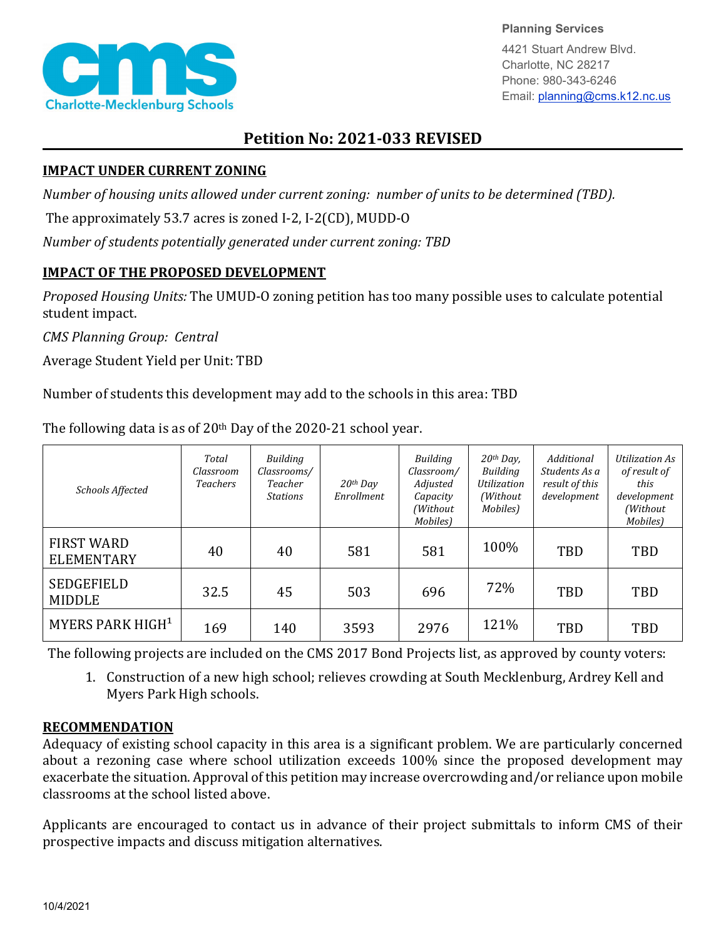

**Planning Services**

4421 Stuart Andrew Blvd. Charlotte, NC 28217 Phone: 980-343-6246 Email: planning@cms.k12.nc.us

## **Petition No: 2021-033 REVISED**

## **IMPACT UNDER CURRENT ZONING**

*Number of housing units allowed under current zoning: number of units to be determined (TBD).*

The approximately 53.7 acres is zoned I-2, I-2(CD), MUDD-O

*Number of students potentially generated under current zoning: TBD*

## **IMPACT OF THE PROPOSED DEVELOPMENT**

*Proposed Housing Units:* The UMUD-O zoning petition has too many possible uses to calculate potential student impact.

*CMS Planning Group: Central*

Average Student Yield per Unit: TBD

Number of students this development may add to the schools in this area: TBD

| <b>Schools Affected</b>                | Total<br>Classroom<br><b>Teachers</b> | <b>Building</b><br>Classrooms/<br>Teacher<br><b>Stations</b> | $20$ <sup>th</sup> Day<br>Enrollment | <b>Building</b><br>Classroom/<br>Adjusted<br>Capacity<br>(Without<br>Mobiles) | $20th$ Day,<br>Building<br>Utilization<br>(Without)<br>Mobiles) | Additional<br>Students As a<br>result of this<br>development | Utilization As<br>of result of<br>this<br>development<br>(Without<br>Mobiles) |
|----------------------------------------|---------------------------------------|--------------------------------------------------------------|--------------------------------------|-------------------------------------------------------------------------------|-----------------------------------------------------------------|--------------------------------------------------------------|-------------------------------------------------------------------------------|
| <b>FIRST WARD</b><br><b>ELEMENTARY</b> | 40                                    | 40                                                           | 581                                  | 581                                                                           | 100%                                                            | TBD                                                          | <b>TBD</b>                                                                    |
| <b>SEDGEFIELD</b><br><b>MIDDLE</b>     | 32.5                                  | 45                                                           | 503                                  | 696                                                                           | 72%                                                             | TBD                                                          | TBD                                                                           |
| MYERS PARK HIGH <sup>1</sup>           | 169                                   | 140                                                          | 3593                                 | 2976                                                                          | 121%                                                            | <b>TBD</b>                                                   | <b>TBD</b>                                                                    |

The following data is as of  $20<sup>th</sup>$  Day of the 2020-21 school year.

The following projects are included on the CMS 2017 Bond Projects list, as approved by county voters:

1. Construction of a new high school; relieves crowding at South Mecklenburg, Ardrey Kell and Myers Park High schools.

## **RECOMMENDATION**

Adequacy of existing school capacity in this area is a significant problem. We are particularly concerned about a rezoning case where school utilization exceeds 100% since the proposed development may exacerbate the situation. Approval of this petition may increase overcrowding and/or reliance upon mobile classrooms at the school listed above.

Applicants are encouraged to contact us in advance of their project submittals to inform CMS of their prospective impacts and discuss mitigation alternatives.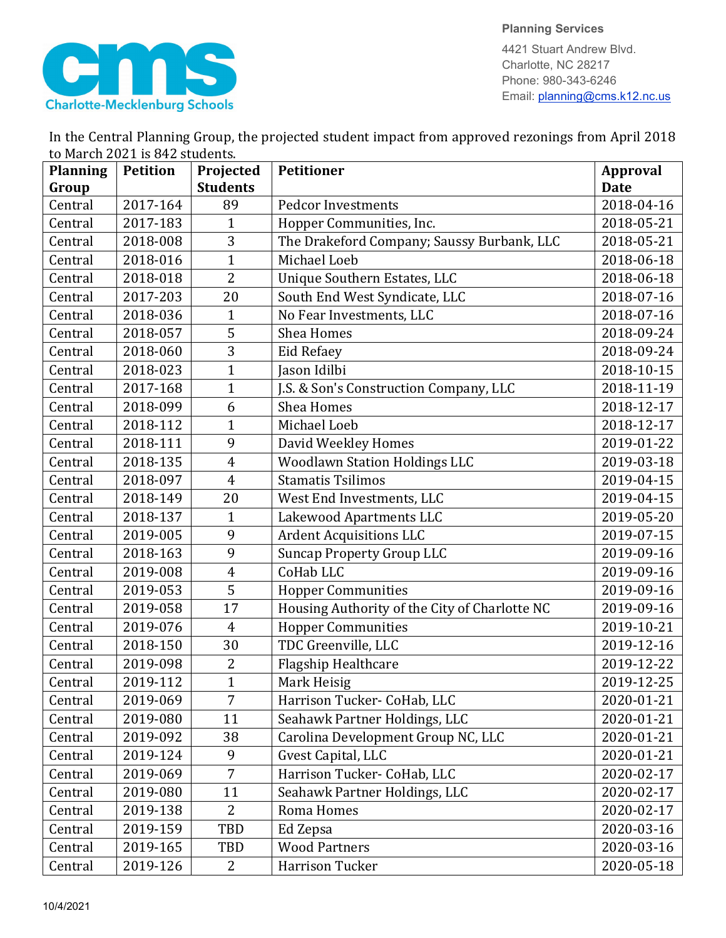

**Planning Services**

4421 Stuart Andrew Blvd. Charlotte, NC 28217 Phone: 980-343-6246 Email: planning@cms.k12.nc.us

|                                | In the Central Planning Group, the projected student impact from approved rezonings from April 2018 |  |  |  |  |
|--------------------------------|-----------------------------------------------------------------------------------------------------|--|--|--|--|
| to March 2021 is 842 students. |                                                                                                     |  |  |  |  |
|                                |                                                                                                     |  |  |  |  |

| <b>Planning</b> | <b>Petition</b> | Projected       | <b>Petitioner</b>                             | <b>Approval</b> |
|-----------------|-----------------|-----------------|-----------------------------------------------|-----------------|
| Group           |                 | <b>Students</b> |                                               | <b>Date</b>     |
| Central         | 2017-164        | 89              | <b>Pedcor Investments</b>                     | 2018-04-16      |
| Central         | 2017-183        | $\mathbf{1}$    | Hopper Communities, Inc.                      | 2018-05-21      |
| Central         | 2018-008        | 3               | The Drakeford Company; Saussy Burbank, LLC    | 2018-05-21      |
| Central         | 2018-016        | $\mathbf{1}$    | Michael Loeb                                  | 2018-06-18      |
| Central         | 2018-018        | $\overline{2}$  | Unique Southern Estates, LLC                  | 2018-06-18      |
| Central         | 2017-203        | 20              | South End West Syndicate, LLC                 | 2018-07-16      |
| Central         | 2018-036        | $\mathbf{1}$    | No Fear Investments, LLC                      | 2018-07-16      |
| Central         | 2018-057        | 5               | <b>Shea Homes</b>                             | 2018-09-24      |
| Central         | 2018-060        | 3               | Eid Refaey                                    | 2018-09-24      |
| Central         | 2018-023        | $\mathbf{1}$    | Jason Idilbi                                  | 2018-10-15      |
| Central         | 2017-168        | $\overline{1}$  | J.S. & Son's Construction Company, LLC        | 2018-11-19      |
| Central         | 2018-099        | 6               | Shea Homes                                    | 2018-12-17      |
| Central         | 2018-112        | $\mathbf{1}$    | Michael Loeb                                  | 2018-12-17      |
| Central         | 2018-111        | 9               | David Weekley Homes                           | 2019-01-22      |
| Central         | 2018-135        | $\overline{4}$  | <b>Woodlawn Station Holdings LLC</b>          | 2019-03-18      |
| Central         | 2018-097        | $\overline{4}$  | <b>Stamatis Tsilimos</b>                      | 2019-04-15      |
| Central         | 2018-149        | 20              | West End Investments, LLC                     | 2019-04-15      |
| Central         | 2018-137        | $\mathbf{1}$    | Lakewood Apartments LLC                       | 2019-05-20      |
| Central         | 2019-005        | 9               | <b>Ardent Acquisitions LLC</b>                | 2019-07-15      |
| Central         | 2018-163        | 9               | <b>Suncap Property Group LLC</b>              | 2019-09-16      |
| Central         | 2019-008        | $\overline{4}$  | CoHab LLC                                     | 2019-09-16      |
| Central         | 2019-053        | 5               | <b>Hopper Communities</b>                     | 2019-09-16      |
| Central         | 2019-058        | 17              | Housing Authority of the City of Charlotte NC | 2019-09-16      |
| Central         | 2019-076        | $\overline{4}$  | <b>Hopper Communities</b>                     | 2019-10-21      |
| Central         | 2018-150        | 30              | TDC Greenville, LLC                           | 2019-12-16      |
| Central         | 2019-098        | $\overline{2}$  | Flagship Healthcare                           | 2019-12-22      |
| Central         | 2019-112        | $\mathbf{1}$    | Mark Heisig                                   | 2019-12-25      |
| Central         | 2019-069        | 7               | Harrison Tucker- CoHab, LLC                   | 2020-01-21      |
| Central         | 2019-080        | 11              | Seahawk Partner Holdings, LLC                 | 2020-01-21      |
| Central         | 2019-092        | 38              | Carolina Development Group NC, LLC            | 2020-01-21      |
| Central         | 2019-124        | 9               | Gvest Capital, LLC                            | 2020-01-21      |
| Central         | 2019-069        | $\overline{7}$  | Harrison Tucker- CoHab, LLC                   | 2020-02-17      |
| Central         | 2019-080        | 11              | Seahawk Partner Holdings, LLC                 | 2020-02-17      |
| Central         | 2019-138        | 2               | Roma Homes                                    | 2020-02-17      |
| Central         | 2019-159        | TBD             | Ed Zepsa                                      | 2020-03-16      |
| Central         | 2019-165        | TBD             | <b>Wood Partners</b>                          | 2020-03-16      |
| Central         | 2019-126        | 2               | Harrison Tucker                               | 2020-05-18      |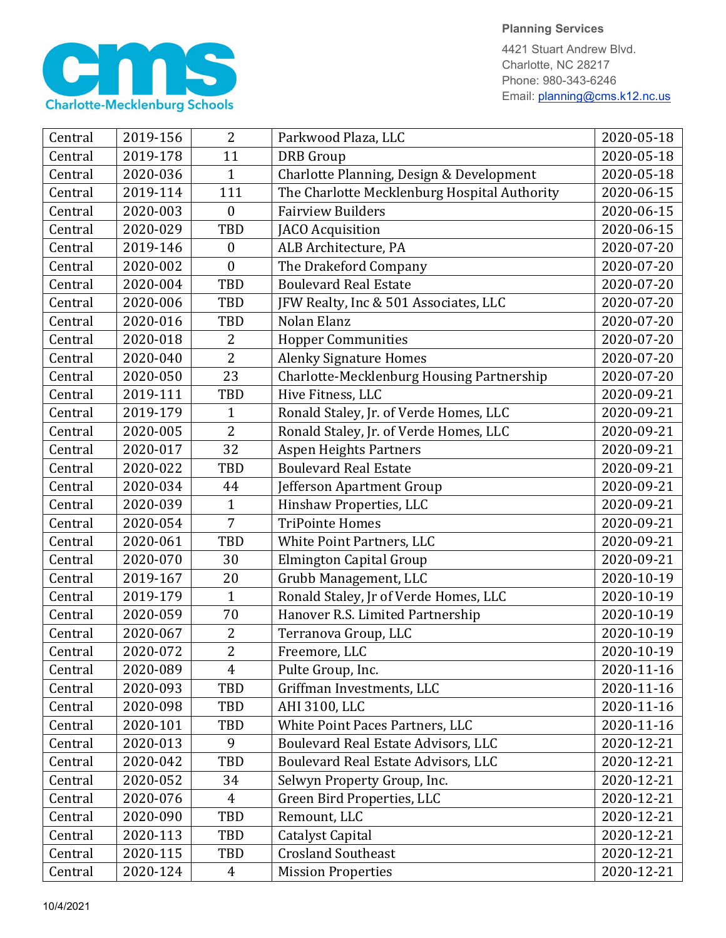

4421 Stuart Andrew Blvd. Charlotte, NC 28217 Phone: 980-343-6246 Email: planning@cms.k12.nc.us

| Central | 2019-156 | $\overline{2}$   | Parkwood Plaza, LLC                          | 2020-05-18 |
|---------|----------|------------------|----------------------------------------------|------------|
| Central | 2019-178 | 11               | <b>DRB</b> Group                             | 2020-05-18 |
| Central | 2020-036 | 1                | Charlotte Planning, Design & Development     | 2020-05-18 |
| Central | 2019-114 | 111              | The Charlotte Mecklenburg Hospital Authority | 2020-06-15 |
| Central | 2020-003 | $\boldsymbol{0}$ | <b>Fairview Builders</b>                     | 2020-06-15 |
| Central | 2020-029 | <b>TBD</b>       | <b>JACO</b> Acquisition                      | 2020-06-15 |
| Central | 2019-146 | $\boldsymbol{0}$ | ALB Architecture, PA                         | 2020-07-20 |
| Central | 2020-002 | $\boldsymbol{0}$ | The Drakeford Company                        | 2020-07-20 |
| Central | 2020-004 | TBD              | <b>Boulevard Real Estate</b>                 | 2020-07-20 |
| Central | 2020-006 | TBD              | JFW Realty, Inc & 501 Associates, LLC        | 2020-07-20 |
| Central | 2020-016 | <b>TBD</b>       | Nolan Elanz                                  | 2020-07-20 |
| Central | 2020-018 | 2                | <b>Hopper Communities</b>                    | 2020-07-20 |
| Central | 2020-040 | $\overline{2}$   | <b>Alenky Signature Homes</b>                | 2020-07-20 |
| Central | 2020-050 | 23               | Charlotte-Mecklenburg Housing Partnership    | 2020-07-20 |
| Central | 2019-111 | TBD              | Hive Fitness, LLC                            | 2020-09-21 |
| Central | 2019-179 | 1                | Ronald Staley, Jr. of Verde Homes, LLC       | 2020-09-21 |
| Central | 2020-005 | $\overline{2}$   | Ronald Staley, Jr. of Verde Homes, LLC       | 2020-09-21 |
| Central | 2020-017 | 32               | <b>Aspen Heights Partners</b>                | 2020-09-21 |
| Central | 2020-022 | <b>TBD</b>       | <b>Boulevard Real Estate</b>                 | 2020-09-21 |
| Central | 2020-034 | 44               | Jefferson Apartment Group                    | 2020-09-21 |
| Central | 2020-039 | 1                | Hinshaw Properties, LLC                      | 2020-09-21 |
| Central | 2020-054 | $\overline{7}$   | <b>TriPointe Homes</b>                       | 2020-09-21 |
| Central | 2020-061 | <b>TBD</b>       | White Point Partners, LLC                    | 2020-09-21 |
| Central | 2020-070 | 30               | Elmington Capital Group                      | 2020-09-21 |
| Central | 2019-167 | 20               | Grubb Management, LLC                        | 2020-10-19 |
| Central | 2019-179 | $\mathbf{1}$     | Ronald Staley, Jr of Verde Homes, LLC        | 2020-10-19 |
| Central | 2020-059 | 70               | Hanover R.S. Limited Partnership             | 2020-10-19 |
| Central | 2020-067 | $\overline{2}$   | Terranova Group, LLC                         | 2020-10-19 |
| Central | 2020-072 | $\overline{2}$   | Freemore, LLC                                | 2020-10-19 |
| Central | 2020-089 | $\overline{4}$   | Pulte Group, Inc.                            | 2020-11-16 |
| Central | 2020-093 | TBD              | Griffman Investments, LLC                    | 2020-11-16 |
| Central | 2020-098 | TBD              | AHI 3100, LLC                                | 2020-11-16 |
| Central | 2020-101 | TBD              | White Point Paces Partners, LLC              | 2020-11-16 |
| Central | 2020-013 | 9                | Boulevard Real Estate Advisors, LLC          | 2020-12-21 |
| Central | 2020-042 | TBD              | Boulevard Real Estate Advisors, LLC          | 2020-12-21 |
| Central | 2020-052 | 34               | Selwyn Property Group, Inc.                  | 2020-12-21 |
| Central | 2020-076 | $\overline{4}$   | Green Bird Properties, LLC                   | 2020-12-21 |
| Central | 2020-090 | TBD              | Remount, LLC                                 | 2020-12-21 |
| Central | 2020-113 | TBD              | Catalyst Capital                             | 2020-12-21 |
| Central | 2020-115 | TBD              | <b>Crosland Southeast</b>                    | 2020-12-21 |
| Central | 2020-124 | 4                | <b>Mission Properties</b>                    | 2020-12-21 |